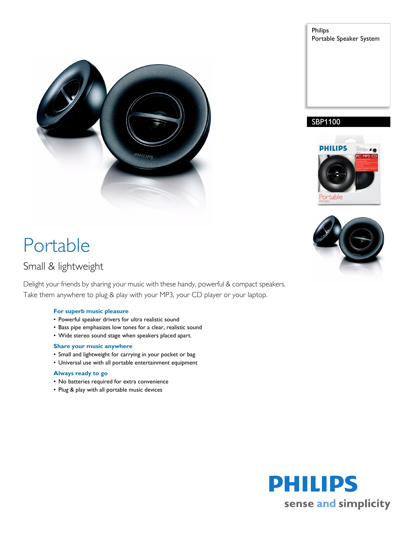

# Portable

## Small & lightweight

Delight your friends by sharing your music with these handy, powerful & compact speakers. Take them anywhere to plug & play with your MP3, your CD player or your laptop.

### **For superb music pleasure**

- Powerful speaker drivers for ultra realistic sound
- Bass pipe emphasizes low tones for a clear, realistic sound
- Wide stereo sound stage when speakers placed apart.

### **Share your music anywhere**

- Small and lightweight for carrying in your pocket or bag
- Universal use with all portable entertainment equipment

### **Always ready to go**

- No batteries required for extra convenience
- Plug & play with all portable music devices







### SBP1100

**PHILIPS**